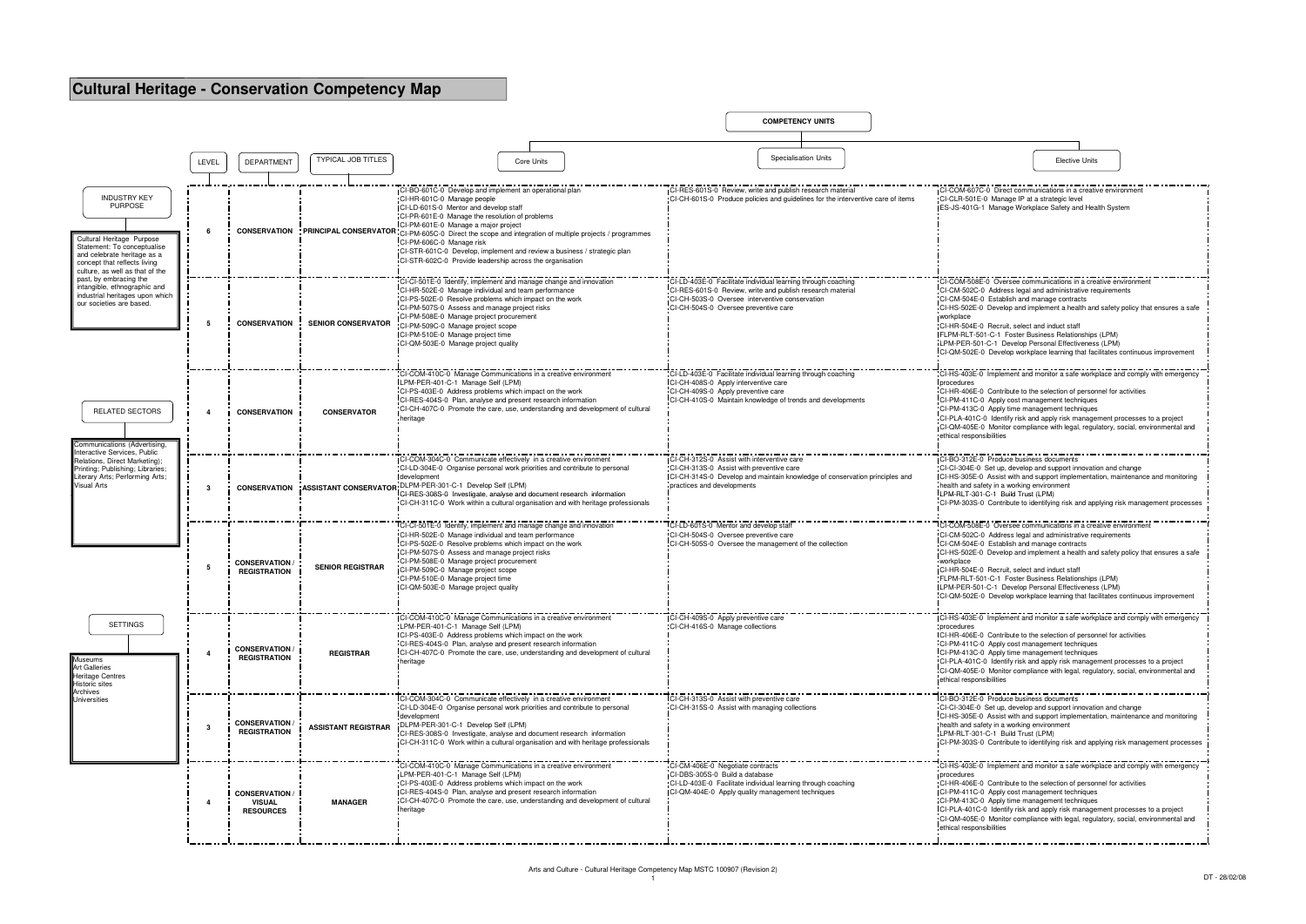## **Cultural Heritage - Conservation Competency Map**

|                                                                                                                                                                                                                                                                                                                                                                                                                                                                                                                                                                                                                       |                         |                                                            |                            |                                                                                                                                                                                                                                                                                                                                                                                                                    | <b>COMPETENCY UNITS</b>                                                                                                                                                                                             |                                                                                                                                                                                                                                                                                                                                                                                                                                                                                                                               |
|-----------------------------------------------------------------------------------------------------------------------------------------------------------------------------------------------------------------------------------------------------------------------------------------------------------------------------------------------------------------------------------------------------------------------------------------------------------------------------------------------------------------------------------------------------------------------------------------------------------------------|-------------------------|------------------------------------------------------------|----------------------------|--------------------------------------------------------------------------------------------------------------------------------------------------------------------------------------------------------------------------------------------------------------------------------------------------------------------------------------------------------------------------------------------------------------------|---------------------------------------------------------------------------------------------------------------------------------------------------------------------------------------------------------------------|-------------------------------------------------------------------------------------------------------------------------------------------------------------------------------------------------------------------------------------------------------------------------------------------------------------------------------------------------------------------------------------------------------------------------------------------------------------------------------------------------------------------------------|
|                                                                                                                                                                                                                                                                                                                                                                                                                                                                                                                                                                                                                       |                         |                                                            |                            |                                                                                                                                                                                                                                                                                                                                                                                                                    |                                                                                                                                                                                                                     |                                                                                                                                                                                                                                                                                                                                                                                                                                                                                                                               |
|                                                                                                                                                                                                                                                                                                                                                                                                                                                                                                                                                                                                                       | LEVEL                   | <b>DEPARTMENT</b>                                          | <b>TYPICAL JOB TITLES</b>  | Core Units                                                                                                                                                                                                                                                                                                                                                                                                         | <b>Specialisation Units</b>                                                                                                                                                                                         | <b>Elective Units</b>                                                                                                                                                                                                                                                                                                                                                                                                                                                                                                         |
| <b>INDUSTRY KEY</b><br><b>PURPOSE</b>                                                                                                                                                                                                                                                                                                                                                                                                                                                                                                                                                                                 |                         |                                                            |                            | CI-BO-601C-0 Develop and implement an operational plan<br>CI-HR-601C-0 Manage people<br>ICI-LD-601S-0 Mentor and develop staff                                                                                                                                                                                                                                                                                     | CI-RES-601S-0 Review, write and publish research material<br>-CI-CH-601S-0 Produce policies and quidelines for the interventive care of items                                                                       | CI-COM-607C-0 Direct communications in a creative environ<br>CI-CLR-501E-0 Manage IP at a strategic level<br>ES-JS-401G-1 Manage Workplace Safety and Health System                                                                                                                                                                                                                                                                                                                                                           |
| Cultural Heritage Purpose<br>Statement: To conceptualise<br>and celebrate heritage as a<br>concept that reflects living<br>culture, as well as that of the<br>past, by embracing the<br>intangible, ethnographic and<br>industrial heritages upon which<br>our societies are based.<br>RELATED SECTORS<br>Communications (Advertising,<br>Interactive Services, Public<br>Relations, Direct Marketing);<br>Printing; Publishing; Libraries;<br>Literary Arts; Performing Arts;<br><b>Visual Arts</b><br><b>SETTINGS</b><br>Museums<br>Art Galleries<br>Heritage Centres<br>Historic sites<br>Archives<br>Universities | 6                       |                                                            |                            | CI-PR-601E-0 Manage the resolution of problems<br>CI-PM-601E-0 Manage a maior project<br><b>CONSERVATION</b> : PRINCIPAL CONSERVATOR CI-PM-605C-0 Direct the scope and integration of multiple projects / programmes<br>CI-PM-606C-0 Manage risk<br>"CI-STR-601C-0 Develop, implement and review a business / strategic plan<br>CI-STR-602C-0 Provide leadership across the organisation<br>---------------------- |                                                                                                                                                                                                                     |                                                                                                                                                                                                                                                                                                                                                                                                                                                                                                                               |
|                                                                                                                                                                                                                                                                                                                                                                                                                                                                                                                                                                                                                       | 5                       | <b>CONSERVATION</b>                                        | <b>SENIOR CONSERVATOR</b>  | CI-CI-501E-0 Identify, implement and manage change and innovation<br>CI-HR-502E-0 Manage individual and team performance<br>CI-PS-502E-0 Resolve problems which impact on the work<br>CI-PM-507S-0 Assess and manage project risks<br>CI-PM-508E-0 Manage project procurement<br>CI-PM-509C-0 Manage project scope<br>CI-PM-510E-0 Manage project time<br>CI-QM-503E-0 Manage project quality                      | CI-LD-403E-0 Facilitate individual learning through coaching<br>CI-RES-601S-0 Review, write and publish research material<br>CI-CH-503S-0 Oversee interventive conservation<br>CI-CH-504S-0 Oversee preventive care | CI-COM-508E-0 Oversee communications in a creative enviro<br>CI-CM-502C-0 Address legal and administrative requirements<br>CI-CM-504E-0 Establish and manage contracts<br>CI-HS-502E-0 Develop and implement a health and safety policy that ensures a safe<br>workplace<br>CI-HR-504E-0 Recruit, select and induct staff<br>FLPM-RLT-501-C-1 Foster Business Relationships (LPM)<br>LPM-PER-501-C-1 Develop Personal Effectiveness (LPM)<br>ICI-QM-502E-0 Develop workplace learning that facilitates continuous improvement |
|                                                                                                                                                                                                                                                                                                                                                                                                                                                                                                                                                                                                                       | 4                       | <b>CONSERVATION</b>                                        | <b>CONSERVATOR</b>         | CI-COM-410C-0 Manage Communications in a creative environment<br>LPM-PER-401-C-1 Manage Self (LPM)<br>CI-PS-403E-0 Address problems which impact on the work<br>CI-RES-404S-0 Plan, analyse and present research information<br>"CI-CH-407C-0 Promote the care, use, understanding and development of cultural<br>heritage                                                                                         | CI-LD-403E-0 Facilitate individual learning through coaching<br>CI-CH-408S-0 Apply interventive care<br>CI-CH-409S-0 Apply preventive care<br>CI-CH-410S-0 Maintain knowledge of trends and developments            | CI-HS-403E-0 Implement and monitor a safe workplace and comply with emergency<br>procedures<br>CI-HR-406E-0 Contribute to the selection of personnel for activities<br>CI-PM-411C-0 Apply cost management techniques<br>CI-PM-413C-0 Apply time management techniques<br>CI-PLA-401C-0 Identify risk and apply risk management processes to a project<br>CI-QM-405E-0 Monitor compliance with legal, regulatory, social, environmental and<br>ethical responsibilities                                                        |
|                                                                                                                                                                                                                                                                                                                                                                                                                                                                                                                                                                                                                       | -3                      | <b>CONSERVATION</b>                                        |                            | CI-COM-304C-0 Communicate effectively in a creative environment<br>"CI-LD-304E-0" Organise personal work priorities and contribute to personal<br>development<br>ASSISTANT CONSERVATOR: DLPM-PER-301-C-1 Develop Self (LPM)<br>CI-RES-308S-0 Investigate, analyse and document research information<br>CI-CH-311C-0 Work within a cultural organisation and with heritage professionals                            | CI-CH-312S-0 Assist with interventive care<br>CI-CH-313S-0 Assist with preventive care<br>CI-CH-314S-0 Develop and maintain knowledge of conservation principles and<br>practices and developments                  | CI-BO-312E-0 Produce business documents<br>CI-CI-304E-0 Set up, develop and support innovation and change<br>CI-HS-305E-0 Assist with and support implementation, maintenance and monitoring<br>health and safety in a working environment<br>LPM-RLT-301-C-1 Build Trust (LPM)<br>-CI-PM-303S-0 Contribute to identifying risk and applying risk management processes                                                                                                                                                        |
|                                                                                                                                                                                                                                                                                                                                                                                                                                                                                                                                                                                                                       | -5                      | <b>CONSERVATION /</b><br><b>REGISTRATION</b>               | <b>SENIOR REGISTRAR</b>    | I-CI-501E-0 Identify, implement and manage change and innovation<br>CI-HR-502E-0 Manage individual and team performance<br>CI-PS-502E-0 Resolve problems which impact on the work<br>CI-PM-507S-0 Assess and manage project risks<br>CI-PM-508E-0 Manage project procurement<br>CI-PM-509C-0 Manage project scope<br>CI-PM-510E-0 Manage project time<br>CI-QM-503E-0 Manage project quality                       | CI-LD-601S-0 Mentor and develop sta<br>CI-CH-504S-0 Oversee preventive care<br>CI-CH-505S-0 Oversee the management of the collection                                                                                | I-COM-508E-0 Oversee communications in a creative environ<br>CI-CM-502C-0 Address legal and administrative requirements<br>CI-CM-504E-0 Establish and manage contracts<br>CI-HS-502E-0 Develop and implement a health and safety policy that ensures a safe<br>workplace<br>CI-HR-504E-0 Recruit, select and induct staff<br>FLPM-RLT-501-C-1 Foster Business Relationships (LPM)<br>LPM-PER-501-C-1 Develop Personal Effectiveness (LPM)<br>CI-QM-502E-0 Develop workplace learning that facilitates continuous improvement  |
|                                                                                                                                                                                                                                                                                                                                                                                                                                                                                                                                                                                                                       |                         | <b>CONSERVATION</b><br><b>REGISTRATION</b>                 | <b>REGISTRAR</b>           | ICI-COM-410C-0 Manage Communications in a creative environment<br>LPM-PER-401-C-1 Manage Self (LPM)<br>CI-PS-403E-0 Address problems which impact on the work<br>CI-RES-404S-0 Plan, analyse and present research information<br>CI-CH-407C-0 Promote the care, use, understanding and development of cultural<br>heritage                                                                                         | ICI-CH-409S-0 Apply preventive care<br>CI-CH-416S-0 Manage collections                                                                                                                                              | CI-HS-403E-0 Implement and monitor a safe workplace and comply with emergency<br>procedures<br>CI-HR-406E-0 Contribute to the selection of personnel for activities<br>CI-PM-411C-0 Apply cost management techniques<br>CI-PM-413C-0 Apply time management techniques<br>"CI-PLA-401C-0 Identify risk and apply risk management processes to a project<br>CI-QM-405E-0 Monitor compliance with legal, regulatory, social, environmental and<br>ethical responsibilities                                                       |
|                                                                                                                                                                                                                                                                                                                                                                                                                                                                                                                                                                                                                       | -3                      | <b>CONSERVATION</b><br><b>REGISTRATION</b>                 | <b>ASSISTANT REGISTRAR</b> | CI-COM-304C-0 Communicate effectively in a creative environment<br>CI-LD-304E-0 Organise personal work priorities and contribute to personal<br>development<br>DLPM-PER-301-C-1 Develop Self (LPM)<br>CI-RES-308S-0 Investigate, analyse and document research information<br>CI-CH-311C-0 Work within a cultural organisation and with heritage professionals                                                     | CI-CH-313S-0 Assist with preventive care<br>CI-CH-315S-0 Assist with managing collections                                                                                                                           | CI-BO-312E-0 Produce business documen<br>CI-CI-304E-0 Set up, develop and support innovation and change<br>CI-HS-305E-0 Assist with and support implementation, maintenance and monitoring<br>health and safety in a working environment<br>LPM-RLT-301-C-1 Build Trust (LPM)<br>CI-PM-303S-0 Contribute to identifying risk and applying risk management processes                                                                                                                                                           |
|                                                                                                                                                                                                                                                                                                                                                                                                                                                                                                                                                                                                                       | $\overline{\mathbf{4}}$ | <b>CONSERVATION /</b><br><b>VISUAL</b><br><b>RESOURCES</b> | <b>MANAGER</b>             | CI-COM-410C-0 Manage Communications in a creative environmen<br>LPM-PER-401-C-1 Manage Self (LPM)<br>CI-PS-403E-0 Address problems which impact on the work<br>CI-RES-404S-0 Plan, analyse and present research information<br>"CI-CH-407C-0 Promote the care, use, understanding and development of cultural<br>heritage                                                                                          | CI-CM-406E-0 Negotiate contracts<br>CI-DBS-305S-0 Build a database<br>CI-LD-403E-0 Facilitate individual learning through coaching<br>CI-QM-404E-0 Apply quality management techniques                              | CI-HS-403E-0 Implement and monitor a safe workplace and comply with emergency<br>procedures<br>CI-HR-406E-0 Contribute to the selection of personnel for activities<br>CI-PM-411C-0 Apply cost management techniques<br>CI-PM-413C-0 Apply time management techniques<br>ICI-PLA-401C-0 Identify risk and apply risk management processes to a project<br>-CI-QM-405E-0 Monitor compliance with legal, regulatory, social, environmental and<br>ethical responsibilities                                                      |